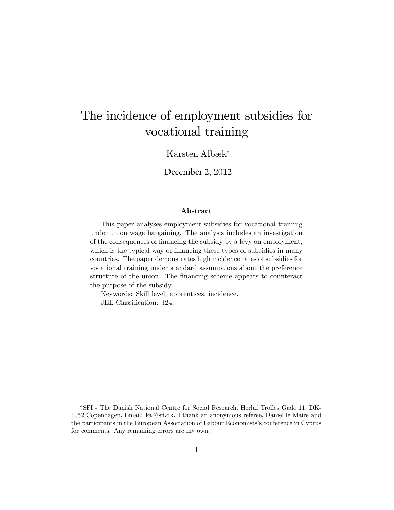# The incidence of employment subsidies for vocational training

Karsten Albæk<sup>\*</sup>

December 2, 2012

#### Abstract

This paper analyses employment subsidies for vocational training under union wage bargaining. The analysis includes an investigation of the consequences of financing the subsidy by a levy on employment, which is the typical way of financing these types of subsidies in many countries. The paper demonstrates high incidence rates of subsidies for vocational training under standard assumptions about the preference structure of the union. The financing scheme appears to counteract the purpose of the subsidy.

Keywords: Skill level, apprentices, incidence.

JEL Classification: J24.

SFI - The Danish National Centre for Social Research, Herluf Trolles Gade 11, DK-1052 Copenhagen, Email: kal@sÖ.dk. I thank an anonymous referee, Daniel le Maire and the participants in the European Association of Labour Economists's conference in Cyprus for comments. Any remaining errors are my own.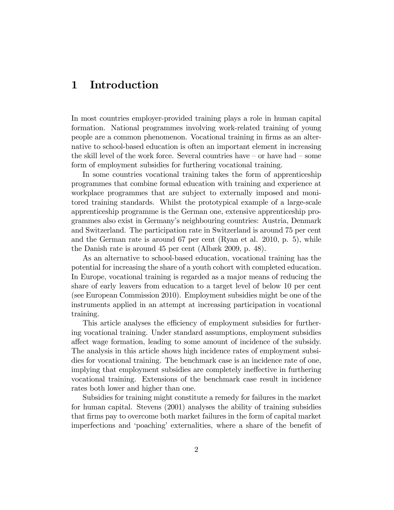### 1 Introduction

In most countries employer-provided training plays a role in human capital formation. National programmes involving work-related training of young people are a common phenomenon. Vocational training in Örms as an alternative to school-based education is often an important element in increasing the skill level of the work force. Several countries have  $-$  or have had  $-$  some form of employment subsidies for furthering vocational training.

In some countries vocational training takes the form of apprenticeship programmes that combine formal education with training and experience at workplace programmes that are subject to externally imposed and monitored training standards. Whilst the prototypical example of a large-scale apprenticeship programme is the German one, extensive apprenticeship programmes also exist in Germanyís neighbouring countries: Austria, Denmark and Switzerland. The participation rate in Switzerland is around 75 per cent and the German rate is around 67 per cent (Ryan et al. 2010, p. 5), while the Danish rate is around  $45$  per cent (Albæk 2009, p. 48).

As an alternative to school-based education, vocational training has the potential for increasing the share of a youth cohort with completed education. In Europe, vocational training is regarded as a major means of reducing the share of early leavers from education to a target level of below 10 per cent (see European Commission 2010). Employment subsidies might be one of the instruments applied in an attempt at increasing participation in vocational training.

This article analyses the efficiency of employment subsidies for furthering vocational training. Under standard assumptions, employment subsidies a§ect wage formation, leading to some amount of incidence of the subsidy. The analysis in this article shows high incidence rates of employment subsidies for vocational training. The benchmark case is an incidence rate of one, implying that employment subsidies are completely ineffective in furthering vocational training. Extensions of the benchmark case result in incidence rates both lower and higher than one.

Subsidies for training might constitute a remedy for failures in the market for human capital. Stevens (2001) analyses the ability of training subsidies that Örms pay to overcome both market failures in the form of capital market imperfections and 'poaching' externalities, where a share of the benefit of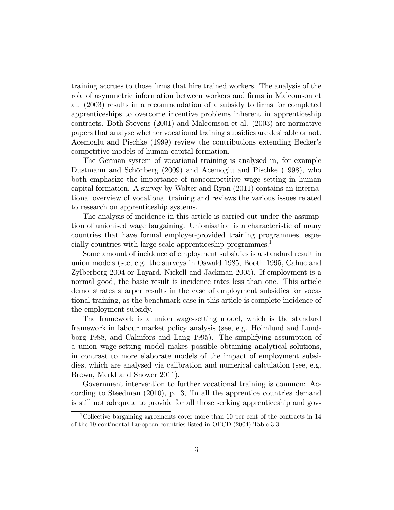training accrues to those Örms that hire trained workers. The analysis of the role of asymmetric information between workers and firms in Malcomson et al.  $(2003)$  results in a recommendation of a subsidy to firms for completed apprenticeships to overcome incentive problems inherent in apprenticeship contracts. Both Stevens (2001) and Malcomson et al. (2003) are normative papers that analyse whether vocational training subsidies are desirable or not. Acemoglu and Pischke (1999) review the contributions extending Beckerís competitive models of human capital formation.

The German system of vocational training is analysed in, for example Dustmann and Schönberg (2009) and Acemoglu and Pischke (1998), who both emphasize the importance of noncompetitive wage setting in human capital formation. A survey by Wolter and Ryan (2011) contains an international overview of vocational training and reviews the various issues related to research on apprenticeship systems.

The analysis of incidence in this article is carried out under the assumption of unionised wage bargaining. Unionisation is a characteristic of many countries that have formal employer-provided training programmes, especially countries with large-scale apprenticeship programmes.<sup>1</sup>

Some amount of incidence of employment subsidies is a standard result in union models (see, e.g. the surveys in Oswald 1985, Booth 1995, Cahuc and Zylberberg 2004 or Layard, Nickell and Jackman 2005). If employment is a normal good, the basic result is incidence rates less than one. This article demonstrates sharper results in the case of employment subsidies for vocational training, as the benchmark case in this article is complete incidence of the employment subsidy.

The framework is a union wage-setting model, which is the standard framework in labour market policy analysis (see, e.g. Holmlund and Lundborg 1988, and Calmfors and Lang 1995). The simplifying assumption of a union wage-setting model makes possible obtaining analytical solutions, in contrast to more elaborate models of the impact of employment subsidies, which are analysed via calibration and numerical calculation (see, e.g. Brown, Merkl and Snower 2011).

Government intervention to further vocational training is common: According to Steedman  $(2010)$ , p. 3,  $\langle$ In all the apprentice countries demand is still not adequate to provide for all those seeking apprenticeship and gov-

<sup>1</sup>Collective bargaining agreements cover more than 60 per cent of the contracts in 14 of the 19 continental European countries listed in OECD (2004) Table 3.3.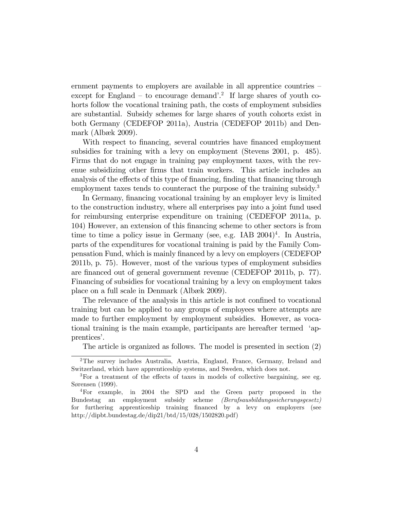ernment payments to employers are available in all apprentice countries  $$ except for England – to encourage demand<sup>7</sup>.<sup>2</sup> If large shares of youth cohorts follow the vocational training path, the costs of employment subsidies are substantial. Subsidy schemes for large shares of youth cohorts exist in both Germany (CEDEFOP 2011a), Austria (CEDEFOP 2011b) and Denmark (Albæk 2009).

With respect to financing, several countries have financed employment subsidies for training with a levy on employment (Stevens 2001, p. 485). Firms that do not engage in training pay employment taxes, with the revenue subsidizing other firms that train workers. This article includes an analysis of the effects of this type of financing, finding that financing through employment taxes tends to counteract the purpose of the training subsidy.<sup>3</sup>

In Germany, financing vocational training by an employer levy is limited to the construction industry, where all enterprises pay into a joint fund used for reimbursing enterprise expenditure on training (CEDEFOP 2011a, p. 104) However, an extension of this Önancing scheme to other sectors is from time to time a policy issue in Germany (see, e.g. IAB  $2004)^4$ . In Austria, parts of the expenditures for vocational training is paid by the Family Compensation Fund, which is mainly Önanced by a levy on employers (CEDEFOP 2011b, p. 75). However, most of the various types of employment subsidies are financed out of general government revenue (CEDEFOP 2011b, p. 77). Financing of subsidies for vocational training by a levy on employment takes place on a full scale in Denmark (Albæk 2009).

The relevance of the analysis in this article is not confined to vocational training but can be applied to any groups of employees where attempts are made to further employment by employment subsidies. However, as vocational training is the main example, participants are hereafter termed ëapprentices'.

The article is organized as follows. The model is presented in section (2)

<sup>2</sup>The survey includes Australia, Austria, England, France, Germany, Ireland and Switzerland, which have apprenticeship systems, and Sweden, which does not.

 ${}^{3}$  For a treatment of the effects of taxes in models of collective bargaining, see eg. Sørensen (1999).

<sup>4</sup>For example, in 2004 the SPD and the Green party proposed in the Bundestag an employment subsidy scheme (Berufsausbildungssicherungsgesetz) for furthering apprenticeship training Önanced by a levy on employers (see http://dipbt.bundestag.de/dip21/btd/15/028/1502820.pdf)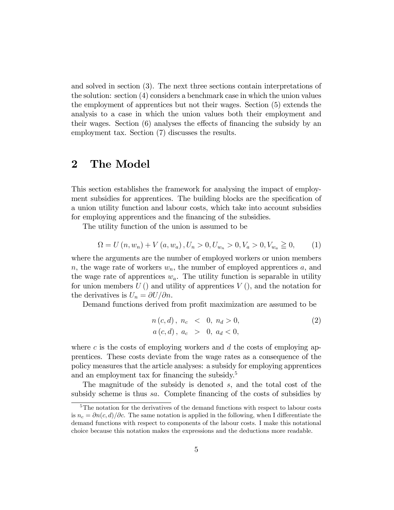and solved in section (3). The next three sections contain interpretations of the solution: section (4) considers a benchmark case in which the union values the employment of apprentices but not their wages. Section (5) extends the analysis to a case in which the union values both their employment and their wages. Section  $(6)$  analyses the effects of financing the subsidy by an employment tax. Section (7) discusses the results.

### 2 The Model

This section establishes the framework for analysing the impact of employment subsidies for apprentices. The building blocks are the specification of a union utility function and labour costs, which take into account subsidies for employing apprentices and the financing of the subsidies.

The utility function of the union is assumed to be

$$
\Omega = U(n, w_n) + V(a, w_a), U_n > 0, U_{w_n} > 0, V_a > 0, V_{w_a} \ge 0,
$$
 (1)

where the arguments are the number of employed workers or union members n, the wage rate of workers  $w_n$ , the number of employed apprentices a, and the wage rate of apprentices  $w_a$ . The utility function is separable in utility for union members  $U()$  and utility of apprentices  $V()$ , and the notation for the derivatives is  $U_n = \partial U/\partial n$ .

Demand functions derived from profit maximization are assumed to be

$$
n(c,d), n_c < 0, n_d > 0,a(c,d), a_c > 0, a_d < 0,
$$
\n
$$
(2)
$$

where c is the costs of employing workers and  $d$  the costs of employing apprentices. These costs deviate from the wage rates as a consequence of the policy measures that the article analyses: a subsidy for employing apprentices and an employment tax for financing the subsidy. $5$ 

The magnitude of the subsidy is denoted s, and the total cost of the subsidy scheme is thus sa. Complete financing of the costs of subsidies by

<sup>&</sup>lt;sup>5</sup>The notation for the derivatives of the demand functions with respect to labour costs is  $n_c = \partial n(c, d)/\partial c$ . The same notation is applied in the following, when I differentiate the demand functions with respect to components of the labour costs. I make this notational choice because this notation makes the expressions and the deductions more readable.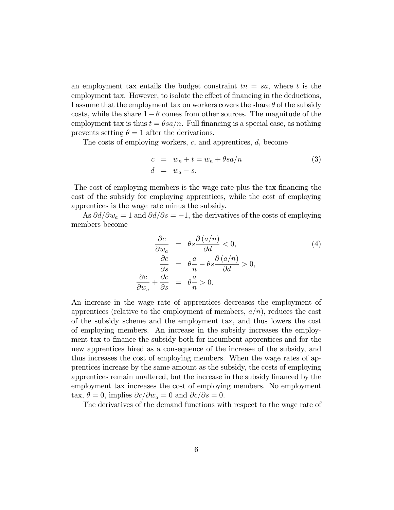an employment tax entails the budget constraint  $tn = sa$ , where t is the employment tax. However, to isolate the effect of financing in the deductions, I assume that the employment tax on workers covers the share  $\theta$  of the subsidy costs, while the share  $1 - \theta$  comes from other sources. The magnitude of the employment tax is thus  $t = \theta s a/n$ . Full financing is a special case, as nothing prevents setting  $\theta = 1$  after the derivations.

The costs of employing workers, c, and apprentices, d, become

$$
c = w_n + t = w_n + \theta s a/n
$$
  
\n
$$
d = w_a - s.
$$
\n(3)

The cost of employing members is the wage rate plus the tax financing the cost of the subsidy for employing apprentices, while the cost of employing apprentices is the wage rate minus the subsidy.

As  $\partial d/\partial w_a = 1$  and  $\partial d/\partial s = -1$ , the derivatives of the costs of employing members become

$$
\frac{\partial c}{\partial w_a} = \theta s \frac{\partial (a/n)}{\partial d} < 0,
$$
\n
$$
\frac{\partial c}{\partial s} = \theta \frac{a}{n} - \theta s \frac{\partial (a/n)}{\partial d} > 0,
$$
\n
$$
\frac{\partial c}{\partial w_a} + \frac{\partial c}{\partial s} = \theta \frac{a}{n} > 0.
$$
\n(4)

An increase in the wage rate of apprentices decreases the employment of apprentices (relative to the employment of members,  $a/n$ ), reduces the cost of the subsidy scheme and the employment tax, and thus lowers the cost of employing members. An increase in the subsidy increases the employment tax to finance the subsidy both for incumbent apprentices and for the new apprentices hired as a consequence of the increase of the subsidy, and thus increases the cost of employing members. When the wage rates of apprentices increase by the same amount as the subsidy, the costs of employing apprentices remain unaltered, but the increase in the subsidy financed by the employment tax increases the cost of employing members. No employment tax,  $\theta = 0$ , implies  $\partial c/\partial w_a = 0$  and  $\partial c/\partial s = 0$ .

The derivatives of the demand functions with respect to the wage rate of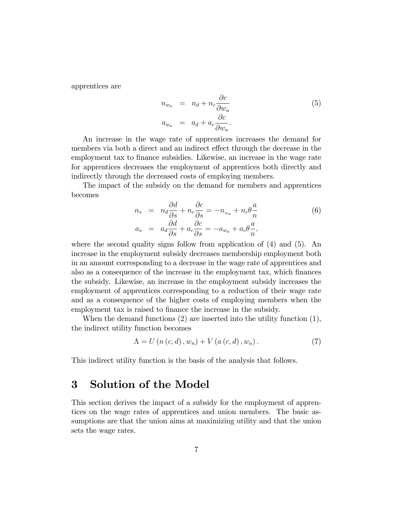apprentices are

$$
n_{w_a} = n_d + n_c \frac{\partial c}{\partial w_a}
$$
  
\n
$$
a_{w_a} = a_d + a_c \frac{\partial c}{\partial w_a}.
$$
\n(5)

An increase in the wage rate of apprentices increases the demand for members via both a direct and an indirect effect through the decrease in the employment tax to finance subsidies. Likewise, an increase in the wage rate for apprentices decreases the employment of apprentices both directly and indirectly through the decreased costs of employing members.

The impact of the subsidy on the demand for members and apprentices becomes

$$
n_s = n_d \frac{\partial d}{\partial s} + n_c \frac{\partial c}{\partial s} = -n_{w_a} + n_c \theta \frac{a}{n}
$$
  
\n
$$
a_s = a_d \frac{\partial d}{\partial s} + a_c \frac{\partial c}{\partial s} = -a_{w_a} + a_c \theta \frac{a}{n},
$$
\n(6)

where the second quality signs follow from application of  $(4)$  and  $(5)$ . An increase in the employment subsidy decreases membership employment both in an amount corresponding to a decrease in the wage rate of apprentices and also as a consequence of the increase in the employment tax, which finances the subsidy. Likewise, an increase in the employment subsidy increases the employment of apprentices corresponding to a reduction of their wage rate and as a consequence of the higher costs of employing members when the employment tax is raised to finance the increase in the subsidy.

When the demand functions (2) are inserted into the utility function (1), the indirect utility function becomes

$$
\Lambda = U(n(c, d), w_n) + V(a(c, d), w_a). \tag{7}
$$

This indirect utility function is the basis of the analysis that follows.

### 3 Solution of the Model

This section derives the impact of a subsidy for the employment of apprentices on the wage rates of apprentices and union members. The basic assumptions are that the union aims at maximizing utility and that the union sets the wage rates.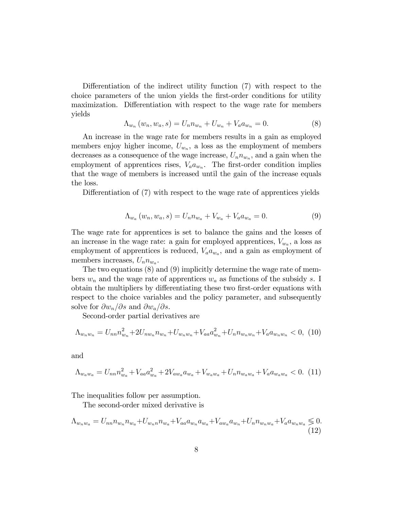Differentiation of the indirect utility function  $(7)$  with respect to the choice parameters of the union yields the first-order conditions for utility maximization. Differentiation with respect to the wage rate for members yields

$$
\Lambda_{w_n}(w_n, w_a, s) = U_n n_{w_n} + U_{w_n} + V_a a_{w_n} = 0.
$$
\n(8)

An increase in the wage rate for members results in a gain as employed members enjoy higher income,  $U_{w_n}$ , a loss as the employment of members decreases as a consequence of the wage increase,  $U_n n_{w_n}$ , and a gain when the employment of apprentices rises,  $V_a a_{w_n}$ . The first-order condition implies that the wage of members is increased until the gain of the increase equals the loss.

Differentiation of (7) with respect to the wage rate of apprentices yields

$$
\Lambda_{w_a}(w_n, w_a, s) = U_n n_{w_a} + V_{w_a} + V_a a_{w_a} = 0.
$$
\n(9)

The wage rate for apprentices is set to balance the gains and the losses of an increase in the wage rate: a gain for employed apprentices,  $V_{w_a}$ , a loss as employment of apprentices is reduced,  $V_a a_{w_a}$ , and a gain as employment of members increases,  $U_n n_{w_a}$ .

The two equations (8) and (9) implicitly determine the wage rate of members  $w_n$  and the wage rate of apprentices  $w_a$  as functions of the subsidy s. I obtain the multipliers by differentiating these two first-order equations with respect to the choice variables and the policy parameter, and subsequently solve for  $\partial w_n/\partial s$  and  $\partial w_a/\partial s$ .

Second-order partial derivatives are

$$
\Lambda_{w_n w_n} = U_{nn} n_{w_n}^2 + 2U_{nw_n} n_{w_n} + U_{w_n w_n} + V_{aa} n_{w_n}^2 + U_n n_{w_n w_n} + V_a n_{w_n w_n} < 0, \tag{10}
$$

and

$$
\Lambda_{w_a w_a} = U_{nn} n_{w_a}^2 + V_{aa} n_{w_a}^2 + 2V_{a w_a} n_{w_a} + V_{w_a w_a} + U_n n_{w_a w_a} + V_a n_{w_a w_a} < 0. \tag{11}
$$

The inequalities follow per assumption.

The second-order mixed derivative is

$$
\Lambda_{w_n w_a} = U_{nn} n_{w_n} n_{w_a} + U_{w_n n} n_{w_a} + V_{aa} a_{w_n} a_{w_a} + V_{a w_a} a_{w_n} + U_n n_{w_n w_a} + V_a a_{w_n w_a} \lessgtr 0.
$$
\n(12)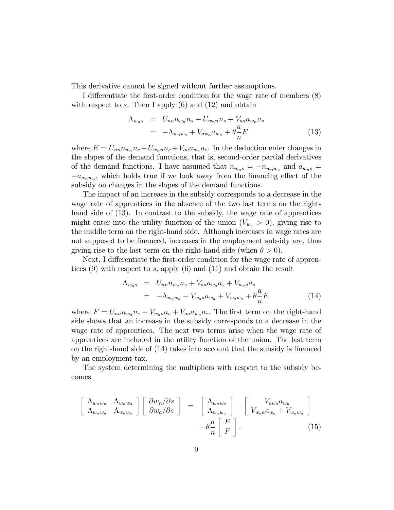This derivative cannot be signed without further assumptions.

I differentiate the first-order condition for the wage rate of members  $(8)$ with respect to s. Then I apply  $(6)$  and  $(12)$  and obtain

$$
\Lambda_{w_n s} = U_{nn} n_{w_n} n_s + U_{w_n n} n_s + V_{aa} a_{w_n} a_s
$$
  
= 
$$
-\Lambda_{w_n w_a} + V_{a w_a} a_{w_n} + \theta \frac{a}{n} E
$$
 (13)

where  $E = U_{nn} n_{w_n} n_c + U_{w_n n} n_c + V_{aa} a_{w_n} a_c$ . In the deduction enter changes in the slopes of the demand functions, that is, second-order partial derivatives of the demand functions. I have assumed that  $n_{w_n s} = -n_{w_n w_a}$  and  $a_{w_n s} =$  $-a_{w_n w_a}$ , which holds true if we look away from the financing effect of the subsidy on changes in the slopes of the demand functions.

The impact of an increase in the subsidy corresponds to a decrease in the wage rate of apprentices in the absence of the two last terms on the righthand side of (13). In contrast to the subsidy, the wage rate of apprentices might enter into the utility function of the union  $(V_{w_a} > 0)$ , giving rise to the middle term on the right-hand side. Although increases in wage rates are not supposed to be financed, increases in the employment subsidy are, thus giving rise to the last term on the right-hand side (when  $\theta > 0$ ).

Next, I differentiate the first-order condition for the wage rate of apprentices  $(9)$  with respect to s, apply  $(6)$  and  $(11)$  and obtain the result

$$
\Lambda_{w_a s} = U_{nn} n_{w_a} n_s + V_{aa} a_{w_a} a_s + V_{w_a a} a_s
$$
  
= 
$$
-\Lambda_{w_a w_a} + V_{w_a a} a_{w_a} + V_{w_a w_a} + \theta \frac{a}{n} F,
$$
 (14)

where  $F = U_{nn} n_{w_a} n_c + V_{w_a a} a_c + V_{aa} a_{w_a} a_c$ . The first term on the right-hand side shows that an increase in the subsidy corresponds to a decrease in the wage rate of apprentices. The next two terms arise when the wage rate of apprentices are included in the utility function of the union. The last term on the right-hand side of  $(14)$  takes into account that the subsidy is financed by an employment tax.

The system determining the multipliers with respect to the subsidy becomes

$$
\begin{bmatrix}\n\Lambda_{w_n w_n} & \Lambda_{w_n w_a} \\
\Lambda_{w_n w_a} & \Lambda_{w_a w_a}\n\end{bmatrix}\n\begin{bmatrix}\n\frac{\partial w_n}{\partial s} \\
\frac{\partial w_a}{\partial s}\n\end{bmatrix} =\n\begin{bmatrix}\n\Lambda_{w_n w_a} \\
\Lambda_{w_a w_a}\n\end{bmatrix} -\n\begin{bmatrix}\nV_{a w_a} a_{w_n} \\
V_{w_a a} a_{w_a} + V_{w_a w_a}\n\end{bmatrix} -\n\theta_n^a\n\begin{bmatrix}\nE \\
F\n\end{bmatrix}.
$$
\n(15)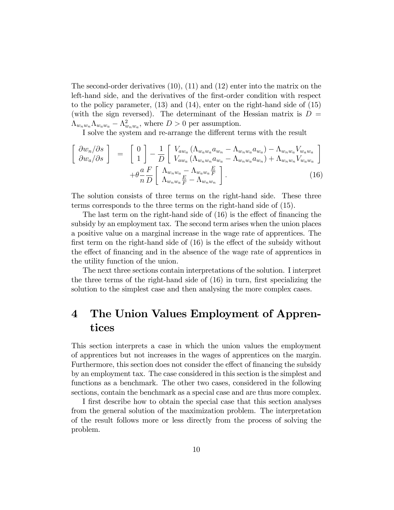The second-order derivatives (10), (11) and (12) enter into the matrix on the left-hand side, and the derivatives of the first-order condition with respect to the policy parameter, (13) and (14), enter on the right-hand side of (15) (with the sign reversed). The determinant of the Hessian matrix is  $D =$  $\Lambda_{w_n w_n} \Lambda_{w_a w_a} - \Lambda_{w_n w_a}^2$ , where  $D > 0$  per assumption.

I solve the system and re-arrange the different terms with the result

$$
\begin{bmatrix}\n\partial w_n/\partial s \\
\partial w_a/\partial s\n\end{bmatrix} = \begin{bmatrix}\n0 \\
1\n\end{bmatrix} - \frac{1}{D} \begin{bmatrix}\nV_{aw_a} (\Lambda_{w_a w_a} a_{w_n} - \Lambda_{w_n w_a} a_{w_a}) - \Lambda_{w_n w_a} V_{w_a w_a} \\
V_{aw_a} (\Lambda_{w_n w_n} a_{w_a} - \Lambda_{w_n w_a} a_{w_n}) + \Lambda_{w_n w_n} V_{w_a w_a}\n\end{bmatrix} + \theta \frac{a}{n} \frac{F}{D} \begin{bmatrix}\n\Lambda_{w_n w_a} - \Lambda_{w_a w_a} \frac{E}{F} \\
\Lambda_{w_n w_a} \frac{E}{F} - \Lambda_{w_n w_n}\n\end{bmatrix}.
$$
\n(16)

The solution consists of three terms on the right-hand side. These three terms corresponds to the three terms on the right-hand side of (15).

The last term on the right-hand side of  $(16)$  is the effect of financing the subsidy by an employment tax. The second term arises when the union places a positive value on a marginal increase in the wage rate of apprentices. The first term on the right-hand side of  $(16)$  is the effect of the subsidy without the effect of financing and in the absence of the wage rate of apprentices in the utility function of the union.

The next three sections contain interpretations of the solution. I interpret the three terms of the right-hand side of  $(16)$  in turn, first specializing the solution to the simplest case and then analysing the more complex cases.

## 4 The Union Values Employment of Apprentices

This section interprets a case in which the union values the employment of apprentices but not increases in the wages of apprentices on the margin. Furthermore, this section does not consider the effect of financing the subsidy by an employment tax. The case considered in this section is the simplest and functions as a benchmark. The other two cases, considered in the following sections, contain the benchmark as a special case and are thus more complex.

I first describe how to obtain the special case that this section analyses from the general solution of the maximization problem. The interpretation of the result follows more or less directly from the process of solving the problem.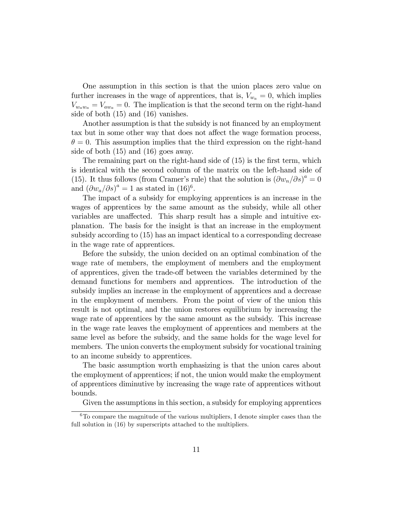One assumption in this section is that the union places zero value on further increases in the wage of apprentices, that is,  $V_{w_a} = 0$ , which implies  $V_{w_a w_a} = V_{a w_a} = 0$ . The implication is that the second term on the right-hand side of both (15) and (16) vanishes.

Another assumption is that the subsidy is not financed by an employment tax but in some other way that does not affect the wage formation process,  $\theta = 0$ . This assumption implies that the third expression on the right-hand side of both (15) and (16) goes away.

The remaining part on the right-hand side of  $(15)$  is the first term, which is identical with the second column of the matrix on the left-hand side of (15). It thus follows (from Cramer's rule) that the solution is  $(\partial w_n/\partial s)^a = 0$ and  $(\partial w_a/\partial s)^a = 1$  as stated in  $(16)^6$ .

The impact of a subsidy for employing apprentices is an increase in the wages of apprentices by the same amount as the subsidy, while all other variables are unaffected. This sharp result has a simple and intuitive explanation. The basis for the insight is that an increase in the employment subsidy according to (15) has an impact identical to a corresponding decrease in the wage rate of apprentices.

Before the subsidy, the union decided on an optimal combination of the wage rate of members, the employment of members and the employment of apprentices, given the trade-off between the variables determined by the demand functions for members and apprentices. The introduction of the subsidy implies an increase in the employment of apprentices and a decrease in the employment of members. From the point of view of the union this result is not optimal, and the union restores equilibrium by increasing the wage rate of apprentices by the same amount as the subsidy. This increase in the wage rate leaves the employment of apprentices and members at the same level as before the subsidy, and the same holds for the wage level for members. The union converts the employment subsidy for vocational training to an income subsidy to apprentices.

The basic assumption worth emphasizing is that the union cares about the employment of apprentices; if not, the union would make the employment of apprentices diminutive by increasing the wage rate of apprentices without bounds.

Given the assumptions in this section, a subsidy for employing apprentices

 $6T<sub>0</sub>$  compare the magnitude of the various multipliers, I denote simpler cases than the full solution in  $(16)$  by superscripts attached to the multipliers.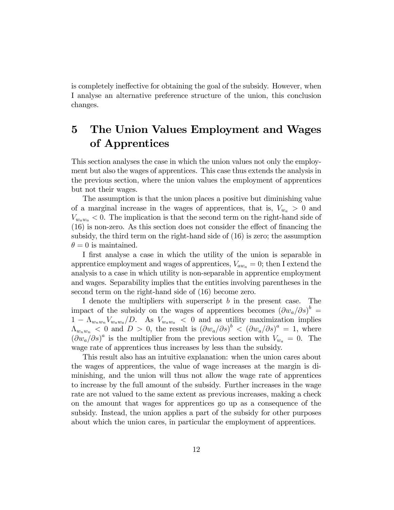is completely ineffective for obtaining the goal of the subsidy. However, when I analyse an alternative preference structure of the union, this conclusion changes.

## 5 The Union Values Employment and Wages of Apprentices

This section analyses the case in which the union values not only the employment but also the wages of apprentices. This case thus extends the analysis in the previous section, where the union values the employment of apprentices but not their wages.

The assumption is that the union places a positive but diminishing value of a marginal increase in the wages of apprentices, that is,  $V_{w_a} > 0$  and  $V_{w_a w_a} < 0$ . The implication is that the second term on the right-hand side of  $(16)$  is non-zero. As this section does not consider the effect of financing the subsidy, the third term on the right-hand side of (16) is zero; the assumption  $\theta = 0$  is maintained.

I first analyse a case in which the utility of the union is separable in apprentice employment and wages of apprentices,  $V_{aw_a} = 0$ ; then I extend the analysis to a case in which utility is non-separable in apprentice employment and wages. Separability implies that the entities involving parentheses in the second term on the right-hand side of (16) become zero.

I denote the multipliers with superscript  $b$  in the present case. The impact of the subsidy on the wages of apprentices becomes  $(\partial w_a/\partial s)^b$  $1 - \Lambda_{w_n w_n} V_{w_a w_a}/D$ . As  $V_{w_a w_a} < 0$  and as utility maximization implies  $\Lambda_{w_n w_n}$  < 0 and  $D > 0$ , the result is  $(\partial w_a/\partial s)^b < (\partial w_a/\partial s)^a = 1$ , where  $(\partial w_a/\partial s)^a$  is the multiplier from the previous section with  $V_{w_a} = 0$ . The wage rate of apprentices thus increases by less than the subsidy.

This result also has an intuitive explanation: when the union cares about the wages of apprentices, the value of wage increases at the margin is diminishing, and the union will thus not allow the wage rate of apprentices to increase by the full amount of the subsidy. Further increases in the wage rate are not valued to the same extent as previous increases, making a check on the amount that wages for apprentices go up as a consequence of the subsidy. Instead, the union applies a part of the subsidy for other purposes about which the union cares, in particular the employment of apprentices.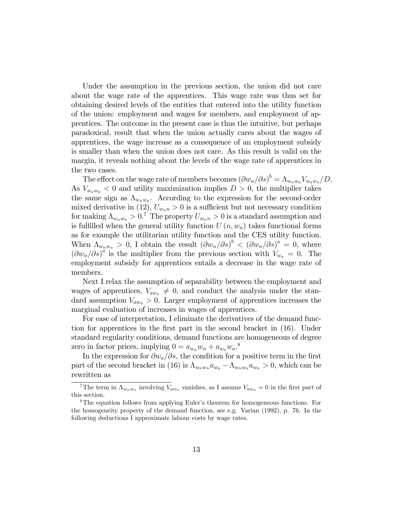Under the assumption in the previous section, the union did not care about the wage rate of the apprentices. This wage rate was thus set for obtaining desired levels of the entities that entered into the utility function of the union: employment and wages for members, and employment of apprentices. The outcome in the present case is thus the intuitive, but perhaps paradoxical, result that when the union actually cares about the wages of apprentices, the wage increase as a consequence of an employment subsidy is smaller than when the union does not care. As this result is valid on the margin, it reveals nothing about the levels of the wage rate of apprentices in the two cases.

The effect on the wage rate of members becomes  $(\partial w_n/\partial s)^b = \Lambda_{w_nw_a}V_{w_a w_a}/D$ . As  $V_{w_a w_a} < 0$  and utility maximization implies  $D > 0$ , the multiplier takes the same sign as  $\Lambda_{w_n w_a}$ . According to the expression for the second-order mixed derivative in (12),  $U_{w_n n} > 0$  is a sufficient but not necessary condition for making  $\Lambda_{w_n w_a} > 0$ .<sup>7</sup> The property  $U_{w_n n} > 0$  is a standard assumption and is fulfilled when the general utility function  $U(n, w_n)$  takes functional forms as for example the utilitarian utility function and the CES utility function. When  $\Lambda_{w_n w_a} > 0$ , I obtain the result  $(\partial w_n/\partial s)^b < (\partial w_n/\partial s)^a = 0$ , where  $(\partial w_n/\partial s)^a$  is the multiplier from the previous section with  $V_{w_a} = 0$ . The employment subsidy for apprentices entails a decrease in the wage rate of members.

Next I relax the assumption of separability between the employment and wages of apprentices,  $V_{aw_a} \neq 0$ , and conduct the analysis under the standard assumption  $V_{aw_a} > 0$ . Larger employment of apprentices increases the marginal evaluation of increases in wages of apprentices.

For ease of interpretation, I eliminate the derivatives of the demand function for apprentices in the first part in the second bracket in (16). Under standard regularity conditions, demand functions are homogeneous of degree zero in factor prices, implying  $0 = a_{w_n} w_n + a_{w_a} w_a$ .<sup>8</sup>

In the expression for  $\partial w_a/\partial s$ , the condition for a positive term in the first part of the second bracket in (16) is  $\Lambda_{w_n w_n} a_{w_n} - \Lambda_{w_n w_n} a_{w_n} > 0$ , which can be rewritten as

<sup>&</sup>lt;sup>7</sup>The term in  $\Lambda_{w_n w_a}$  involving  $V_{aw_a}$  vanishes, as I assume  $V_{aw_a} = 0$  in the first part of this section.

<sup>&</sup>lt;sup>8</sup>The equation follows from applying Euler's theorem for homogeneous functions. For the homogeneity property of the demand function, see e.g. Varian (1992), p. 76. In the following deductions I approximate labour costs by wage rates.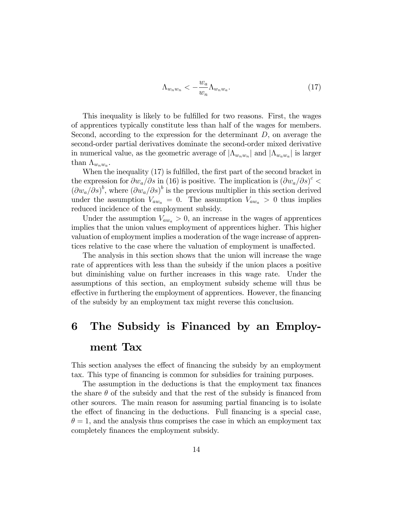$$
\Lambda_{w_n w_n} < -\frac{w_a}{w_n} \Lambda_{w_n w_a}.\tag{17}
$$

This inequality is likely to be fulfilled for two reasons. First, the wages of apprentices typically constitute less than half of the wages for members. Second, according to the expression for the determinant D, on average the second-order partial derivatives dominate the second-order mixed derivative in numerical value, as the geometric average of  $|\Lambda_{w_n w_n}|$  and  $|\Lambda_{w_a w_a}|$  is larger than  $\Lambda_{w_n w_a}$ .

When the inequality  $(17)$  is fulfilled, the first part of the second bracket in the expression for  $\partial w_a/\partial s$  in (16) is positive. The implication is  $(\partial w_a/\partial s)^c$  $(\partial w_a/\partial s)^b$ , where  $(\partial w_a/\partial s)^b$  is the previous multiplier in this section derived under the assumption  $V_{aw_a} = 0$ . The assumption  $V_{aw_a} > 0$  thus implies reduced incidence of the employment subsidy.

Under the assumption  $V_{aw_a} > 0$ , an increase in the wages of apprentices implies that the union values employment of apprentices higher. This higher valuation of employment implies a moderation of the wage increase of apprentices relative to the case where the valuation of employment is unaffected.

The analysis in this section shows that the union will increase the wage rate of apprentices with less than the subsidy if the union places a positive but diminishing value on further increases in this wage rate. Under the assumptions of this section, an employment subsidy scheme will thus be effective in furthering the employment of apprentices. However, the financing of the subsidy by an employment tax might reverse this conclusion.

# 6 The Subsidy is Financed by an Employment Tax

This section analyses the effect of financing the subsidy by an employment tax. This type of financing is common for subsidies for training purposes.

The assumption in the deductions is that the employment tax finances the share  $\theta$  of the subsidy and that the rest of the subsidy is financed from other sources. The main reason for assuming partial Önancing is to isolate the effect of financing in the deductions. Full financing is a special case,  $\theta = 1$ , and the analysis thus comprises the case in which an employment tax completely Önances the employment subsidy.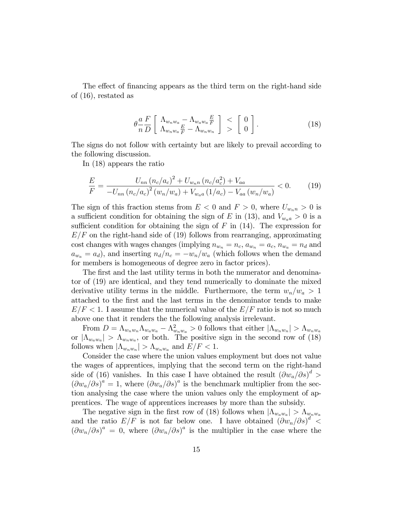The effect of financing appears as the third term on the right-hand side of (16), restated as

$$
\theta \frac{a}{n} \frac{F}{D} \left[ \begin{array}{c} \Lambda_{w_n w_a} - \Lambda_{w_a w_a} \frac{E}{F} \\ \Lambda_{w_n w_a} \frac{E}{F} - \Lambda_{w_n w_n} \end{array} \right] \begin{array}{c} < \\ < \end{array} \left[ \begin{array}{c} 0 \\ 0 \end{array} \right]. \tag{18}
$$

The signs do not follow with certainty but are likely to prevail according to the following discussion.

In (18) appears the ratio

$$
\frac{E}{F} = \frac{U_{nn} (n_c/a_c)^2 + U_{w_{n}n} (n_c/a_c^2) + V_{aa}}{-U_{nn} (n_c/a_c)^2 (w_n/w_a) + V_{w_{aa}} (1/a_c) - V_{aa} (w_n/w_a)} < 0.
$$
 (19)

The sign of this fraction stems from  $E < 0$  and  $F > 0$ , where  $U_{w_n} > 0$  is a sufficient condition for obtaining the sign of E in (13), and  $V_{w_a} > 0$  is a sufficient condition for obtaining the sign of  $F$  in (14). The expression for  $E/F$  on the right-hand side of (19) follows from rearranging, approximating cost changes with wages changes (implying  $n_{w_n} = n_c$ ,  $a_{w_n} = a_c$ ,  $n_{w_a} = n_d$  and  $a_{w_a} = a_d$ , and inserting  $n_d/n_c = -w_n/w_a$  (which follows when the demand for members is homogeneous of degree zero in factor prices).

The first and the last utility terms in both the numerator and denominator of (19) are identical, and they tend numerically to dominate the mixed derivative utility terms in the middle. Furthermore, the term  $w_n/w_a > 1$ attached to the Örst and the last terms in the denominator tends to make  $E/F < 1$ . I assume that the numerical value of the  $E/F$  ratio is not so much above one that it renders the the following analysis irrelevant.

From  $D = \Lambda_{w_n w_n} \Lambda_{w_a w_a} - \Lambda_{w_n w_a}^2 > 0$  follows that either  $|\Lambda_{w_n w_n}| > \Lambda_{w_n w_a}$ or  $|\Lambda_{w_a w_a}| > \Lambda_{w_n w_a}$ , or both. The positive sign in the second row of (18) follows when  $|\Lambda_{w_n w_n}| > \Lambda_{w_n w_a}$  and  $E/F < 1$ .

Consider the case where the union values employment but does not value the wages of apprentices, implying that the second term on the right-hand side of (16) vanishes. In this case I have obtained the result  $(\partial w_a/\partial s)^d$  $(\partial w_a/\partial s)^a = 1$ , where  $(\partial w_a/\partial s)^a$  is the benchmark multiplier from the section analysing the case where the union values only the employment of apprentices. The wage of apprentices increases by more than the subsidy.

The negative sign in the first row of (18) follows when  $|\Lambda_{w_a w_a}| > \Lambda_{w_n w_a}$ and the ratio  $E/F$  is not far below one. I have obtained  $(\partial w_n/\partial s)^d$  $(\partial w_n/\partial s)^a = 0$ , where  $(\partial w_n/\partial s)^a$  is the multiplier in the case where the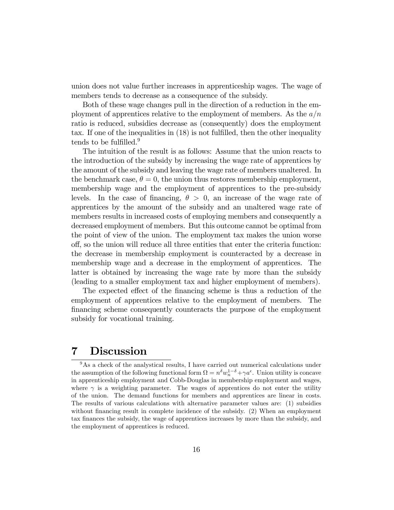union does not value further increases in apprenticeship wages. The wage of members tends to decrease as a consequence of the subsidy.

Both of these wage changes pull in the direction of a reduction in the employment of apprentices relative to the employment of members. As the  $a/n$ ratio is reduced, subsidies decrease as (consequently) does the employment tax. If one of the inequalities in  $(18)$  is not fulfilled, then the other inequality tends to be fulfilled. $9$ 

The intuition of the result is as follows: Assume that the union reacts to the introduction of the subsidy by increasing the wage rate of apprentices by the amount of the subsidy and leaving the wage rate of members unaltered. In the benchmark case,  $\theta = 0$ , the union thus restores membership employment, membership wage and the employment of apprentices to the pre-subsidy levels. In the case of financing,  $\theta > 0$ , an increase of the wage rate of apprentices by the amount of the subsidy and an unaltered wage rate of members results in increased costs of employing members and consequently a decreased employment of members. But this outcome cannot be optimal from the point of view of the union. The employment tax makes the union worse off, so the union will reduce all three entities that enter the criteria function: the decrease in membership employment is counteracted by a decrease in membership wage and a decrease in the employment of apprentices. The latter is obtained by increasing the wage rate by more than the subsidy (leading to a smaller employment tax and higher employment of members).

The expected effect of the financing scheme is thus a reduction of the employment of apprentices relative to the employment of members. The Önancing scheme consequently counteracts the purpose of the employment subsidy for vocational training.

### 7 Discussion

 $9As$  a check of the analystical results, I have carried out numerical calculations under the assumption of the following functional form  $\Omega = n^{\delta}w_n^{1-\delta} + \gamma a^{\epsilon}$ . Union utility is concave in apprenticeship employment and Cobb-Douglas in membership employment and wages, where  $\gamma$  is a weighting parameter. The wages of apprentices do not enter the utility of the union. The demand functions for members and apprentices are linear in costs. The results of various calculations with alternative parameter values are: (1) subsidies without financing result in complete incidence of the subsidy. (2) When an employment tax finances the subsidy, the wage of apprentices increases by more than the subsidy, and the employment of apprentices is reduced.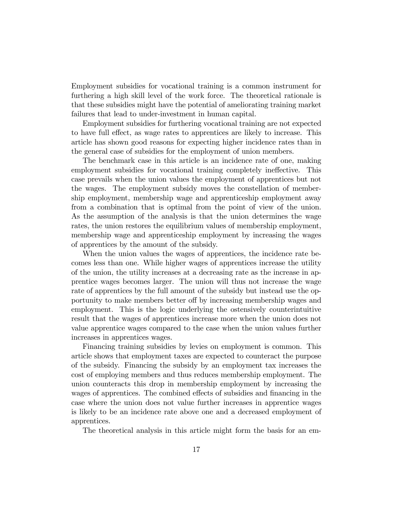Employment subsidies for vocational training is a common instrument for furthering a high skill level of the work force. The theoretical rationale is that these subsidies might have the potential of ameliorating training market failures that lead to under-investment in human capital.

Employment subsidies for furthering vocational training are not expected to have full effect, as wage rates to apprentices are likely to increase. This article has shown good reasons for expecting higher incidence rates than in the general case of subsidies for the employment of union members.

The benchmark case in this article is an incidence rate of one, making employment subsidies for vocational training completely ineffective. This case prevails when the union values the employment of apprentices but not the wages. The employment subsidy moves the constellation of membership employment, membership wage and apprenticeship employment away from a combination that is optimal from the point of view of the union. As the assumption of the analysis is that the union determines the wage rates, the union restores the equilibrium values of membership employment, membership wage and apprenticeship employment by increasing the wages of apprentices by the amount of the subsidy.

When the union values the wages of apprentices, the incidence rate becomes less than one. While higher wages of apprentices increase the utility of the union, the utility increases at a decreasing rate as the increase in apprentice wages becomes larger. The union will thus not increase the wage rate of apprentices by the full amount of the subsidy but instead use the opportunity to make members better of by increasing membership wages and employment. This is the logic underlying the ostensively counterintuitive result that the wages of apprentices increase more when the union does not value apprentice wages compared to the case when the union values further increases in apprentices wages.

Financing training subsidies by levies on employment is common. This article shows that employment taxes are expected to counteract the purpose of the subsidy. Financing the subsidy by an employment tax increases the cost of employing members and thus reduces membership employment. The union counteracts this drop in membership employment by increasing the wages of apprentices. The combined effects of subsidies and financing in the case where the union does not value further increases in apprentice wages is likely to be an incidence rate above one and a decreased employment of apprentices.

The theoretical analysis in this article might form the basis for an em-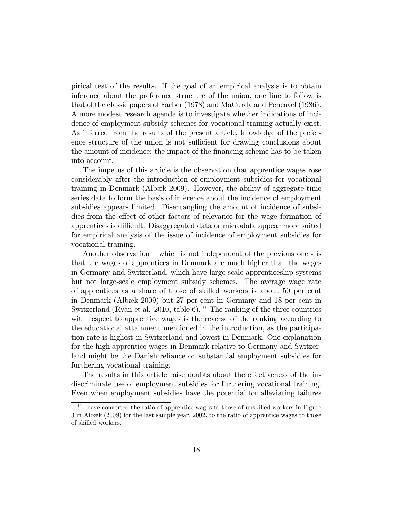pirical test of the results. If the goal of an empirical analysis is to obtain inference about the preference structure of the union, one line to follow is that of the classic papers of Farber (1978) and MaCurdy and Pencavel (1986). A more modest research agenda is to investigate whether indications of incidence of employment subsidy schemes for vocational training actually exist. As inferred from the results of the present article, knowledge of the preference structure of the union is not sufficient for drawing conclusions about the amount of incidence; the impact of the Önancing scheme has to be taken into account.

The impetus of this article is the observation that apprentice wages rose considerably after the introduction of employment subsidies for vocational training in Denmark (Albæk 2009). However, the ability of aggregate time series data to form the basis of inference about the incidence of employment subsidies appears limited. Disentangling the amount of incidence of subsidies from the effect of other factors of relevance for the wage formation of apprentices is difficult. Disaggregated data or microdata appear more suited for empirical analysis of the issue of incidence of employment subsidies for vocational training.

Another observation  $-\text{ which is not independent of the previous one - is}$ that the wages of apprentices in Denmark are much higher than the wages in Germany and Switzerland, which have large-scale apprenticeship systems but not large-scale employment subsidy schemes. The average wage rate of apprentices as a share of those of skilled workers is about 50 per cent in Denmark (Albæk 2009) but 27 per cent in Germany and 18 per cent in Switzerland (Ryan et al. 2010, table 6).<sup>10</sup> The ranking of the three countries with respect to apprentice wages is the reverse of the ranking according to the educational attainment mentioned in the introduction, as the participation rate is highest in Switzerland and lowest in Denmark. One explanation for the high apprentice wages in Denmark relative to Germany and Switzerland might be the Danish reliance on substantial employment subsidies for furthering vocational training.

The results in this article raise doubts about the effectiveness of the indiscriminate use of employment subsidies for furthering vocational training. Even when employment subsidies have the potential for alleviating failures

 $10$  I have converted the ratio of apprentice wages to those of unskilled workers in Figure  $3$  in Albæk (2009) for the last sample year, 2002, to the ratio of apprentice wages to those of skilled workers.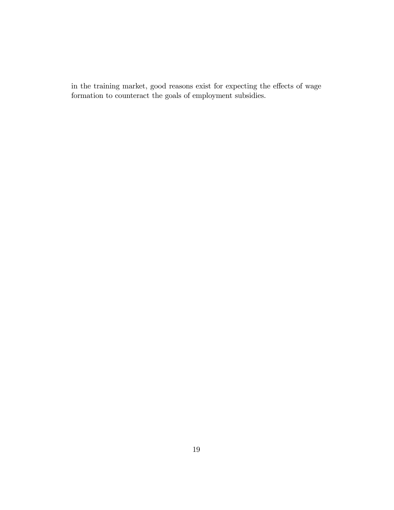in the training market, good reasons exist for expecting the effects of wage formation to counteract the goals of employment subsidies.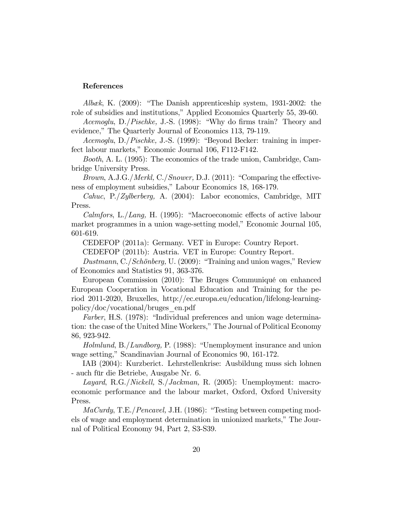#### References

Albæk, K. (2009): "The Danish apprenticeship system, 1931-2002: the role of subsidies and institutions," Applied Economics Quarterly 55, 39-60.

Acemoglu, D./Pischke, J.-S. (1998): "Why do firms train? Theory and evidence," The Quarterly Journal of Economics 113, 79-119.

 $Acemoglu, D./Pischke, J.S. (1999): "Beyond Becker: training in imper$ fect labour markets," Economic Journal 106, F112-F142.

Booth, A. L. (1995): The economics of the trade union, Cambridge, Cambridge University Press.

Brown, A.J.G./Merkl, C./Snower, D.J. (2011): "Comparing the effectiveness of employment subsidies," Labour Economics 18, 168-179.

Cahuc, P./Zylberberg, A. (2004): Labor economics, Cambridge, MIT Press.

Calmfors, L./Lang, H. (1995): "Macroeconomic effects of active labour market programmes in a union wage-setting model," Economic Journal 105, 601-619.

CEDEFOP (2011a): Germany. VET in Europe: Country Report.

CEDEFOP (2011b): Austria. VET in Europe: Country Report.

Dustmann, C./Schönberg, U. (2009): "Training and union wages," Review of Economics and Statistics 91, 363-376.

European Commission (2010): The Bruges Communiqué on enhanced European Cooperation in Vocational Education and Training for the period 2011-2020, Bruxelles, http://ec.europa.eu/education/lifelong-learningpolicy/doc/vocational/bruges\_en.pdf

Farber, H.S. (1978): "Individual preferences and union wage determination: the case of the United Mine Workers," The Journal of Political Economy 86, 923-942.

Holmlund, B./Lundborg, P.  $(1988)$ : "Unemployment insurance and union wage setting," Scandinavian Journal of Economics 90, 161-172.

IAB (2004): Kurzberict. Lehrstellenkrise: Ausbildung muss sich lohnen - auch für die Betriebe, Ausgabe Nr. 6.

Layard, R.G./Nickell, S./Jackman, R. (2005): Unemployment: macroeconomic performance and the labour market, Oxford, Oxford University Press.

 $MaCurdy$ , T.E./*Pencavel*, J.H. (1986): "Testing between competing models of wage and employment determination in unionized markets," The Journal of Political Economy 94, Part 2, S3-S39.